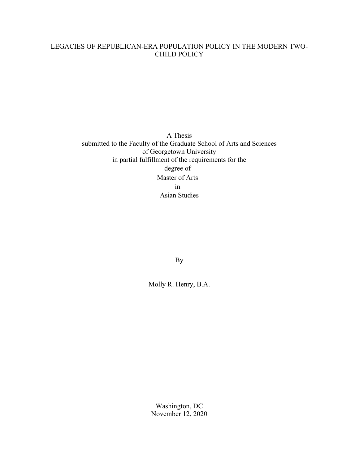## LEGACIES OF REPUBLICAN-ERA POPULATION POLICY IN THE MODERN TWO-CHILD POLICY

A Thesis submitted to the Faculty of the Graduate School of Arts and Sciences of Georgetown University in partial fulfillment of the requirements for the degree of Master of Arts in Asian Studies

By

Molly R. Henry, B.A.

Washington, DC November 12, 2020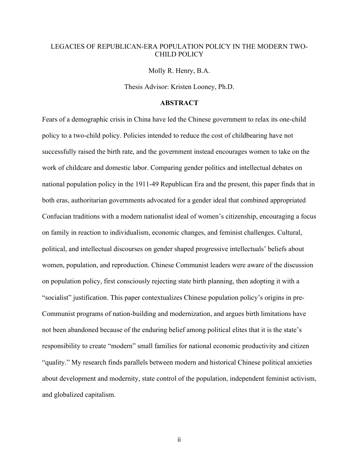### LEGACIES OF REPUBLICAN-ERA POPULATION POLICY IN THE MODERN TWO-CHILD POLICY

Molly R. Henry, B.A.

Thesis Advisor: Kristen Looney, Ph.D.

#### **ABSTRACT**

Fears of a demographic crisis in China have led the Chinese government to relax its one-child policy to a two-child policy. Policies intended to reduce the cost of childbearing have not successfully raised the birth rate, and the government instead encourages women to take on the work of childcare and domestic labor. Comparing gender politics and intellectual debates on national population policy in the 1911-49 Republican Era and the present, this paper finds that in both eras, authoritarian governments advocated for a gender ideal that combined appropriated Confucian traditions with a modern nationalist ideal of women's citizenship, encouraging a focus on family in reaction to individualism, economic changes, and feminist challenges. Cultural, political, and intellectual discourses on gender shaped progressive intellectuals' beliefs about women, population, and reproduction. Chinese Communist leaders were aware of the discussion on population policy, first consciously rejecting state birth planning, then adopting it with a "socialist" justification. This paper contextualizes Chinese population policy's origins in pre-Communist programs of nation-building and modernization, and argues birth limitations have not been abandoned because of the enduring belief among political elites that it is the state's responsibility to create "modern" small families for national economic productivity and citizen "quality." My research finds parallels between modern and historical Chinese political anxieties about development and modernity, state control of the population, independent feminist activism, and globalized capitalism.

ii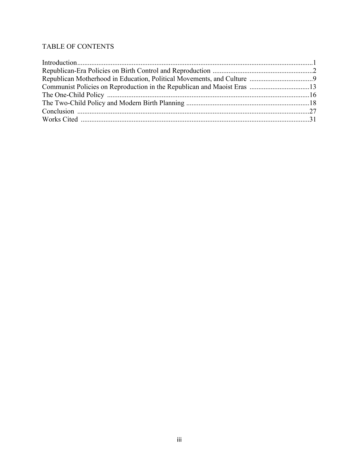# TABLE OF CONTENTS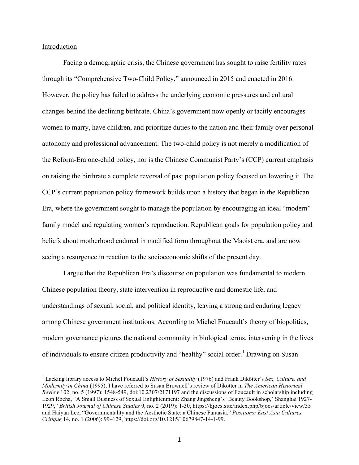### Introduction

Facing a demographic crisis, the Chinese government has sought to raise fertility rates through its "Comprehensive Two-Child Policy," announced in 2015 and enacted in 2016. However, the policy has failed to address the underlying economic pressures and cultural changes behind the declining birthrate. China's government now openly or tacitly encourages women to marry, have children, and prioritize duties to the nation and their family over personal autonomy and professional advancement. The two-child policy is not merely a modification of the Reform-Era one-child policy, nor is the Chinese Communist Party's (CCP) current emphasis on raising the birthrate a complete reversal of past population policy focused on lowering it. The CCP's current population policy framework builds upon a history that began in the Republican Era, where the government sought to manage the population by encouraging an ideal "modern" family model and regulating women's reproduction. Republican goals for population policy and beliefs about motherhood endured in modified form throughout the Maoist era, and are now seeing a resurgence in reaction to the socioeconomic shifts of the present day.

I argue that the Republican Era's discourse on population was fundamental to modern Chinese population theory, state intervention in reproductive and domestic life, and understandings of sexual, social, and political identity, leaving a strong and enduring legacy among Chinese government institutions. According to Michel Foucault's theory of biopolitics, modern governance pictures the national community in biological terms, intervening in the lives of individuals to ensure citizen productivity and "healthy" social order.<sup>1</sup> Drawing on Susan

 <sup>1</sup> Lacking library access to Michel Foucault's *History of Sexuality* (1976) and Frank Dikötter's *Sex, Culture, and Modernity in China* (1995), I have referred to Susan Brownell's review of Dikötter in *The American Historical Review* 102, no. 5 (1997): 1548-549, doi:10.2307/2171197 and the discussions of Foucault in scholarship including Leon Rocha, "A Small Business of Sexual Enlightenment: Zhang Jingsheng's 'Beauty Bookshop,' Shanghai 1927- 1929," *British Journal of Chinese Studies* 9, no. 2 (2019): 1-30, https://bjocs.site/index.php/bjocs/article/view/35 and Haiyan Lee, "Governmentality and the Aesthetic State: a Chinese Fantasia," *Positions: East Asia Cultures Critique* 14, no. 1 (2006): 99–129, https://doi.org/10.1215/10679847-14-1-99.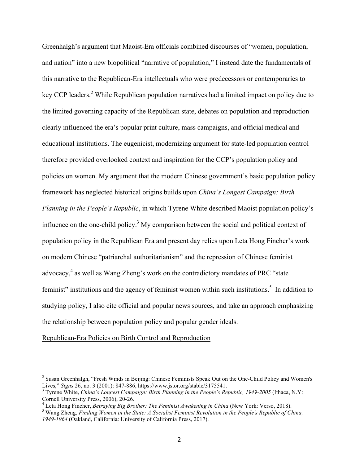Greenhalgh's argument that Maoist-Era officials combined discourses of "women, population, and nation" into a new biopolitical "narrative of population," I instead date the fundamentals of this narrative to the Republican-Era intellectuals who were predecessors or contemporaries to key CCP leaders.<sup>2</sup> While Republican population narratives had a limited impact on policy due to the limited governing capacity of the Republican state, debates on population and reproduction clearly influenced the era's popular print culture, mass campaigns, and official medical and educational institutions. The eugenicist, modernizing argument for state-led population control therefore provided overlooked context and inspiration for the CCP's population policy and policies on women. My argument that the modern Chinese government's basic population policy framework has neglected historical origins builds upon *China's Longest Campaign: Birth Planning in the People's Republic*, in which Tyrene White described Maoist population policy's influence on the one-child policy.<sup>3</sup> My comparison between the social and political context of population policy in the Republican Era and present day relies upon Leta Hong Fincher's work on modern Chinese "patriarchal authoritarianism" and the repression of Chinese feminist advocacy,<sup>4</sup> as well as Wang Zheng's work on the contradictory mandates of PRC "state" feminist" institutions and the agency of feminist women within such institutions.<sup>5</sup> In addition to studying policy, I also cite official and popular news sources, and take an approach emphasizing the relationship between population policy and popular gender ideals.

### Republican-Era Policies on Birth Control and Reproduction

<sup>&</sup>lt;sup>2</sup> Susan Greenhalgh, "Fresh Winds in Beijing: Chinese Feminists Speak Out on the One-Child Policy and Women's Lives," *Signs* 26, no. 3 (2001): 847-886, https://www.jstor.org/stable/3175541.

<sup>&</sup>lt;sup>3</sup> Tyrene White, *China's Longest Campaign: Birth Planning in the People's Republic, 1949-2005* (Ithaca, N.Y: Cornell University Press, 2006), 20-26.<br><sup>4</sup> Leta Hong Fincher, *Betraying Big Brother: The Feminist Awakening in China* (New York: Verso, 2018).<br><sup>5</sup> Wang Zheng, *Finding Women in the State: A Socialist Feminist Revolution* 

*<sup>1949-1964</sup>* (Oakland, California: University of California Press, 2017).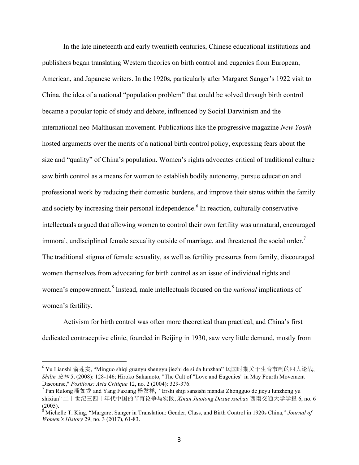In the late nineteenth and early twentieth centuries, Chinese educational institutions and publishers began translating Western theories on birth control and eugenics from European, American, and Japanese writers. In the 1920s, particularly after Margaret Sanger's 1922 visit to China, the idea of a national "population problem" that could be solved through birth control became a popular topic of study and debate, influenced by Social Darwinism and the international neo-Malthusian movement. Publications like the progressive magazine *New Youth* hosted arguments over the merits of a national birth control policy, expressing fears about the size and "quality" of China's population. Women's rights advocates critical of traditional culture saw birth control as a means for women to establish bodily autonomy, pursue education and professional work by reducing their domestic burdens, and improve their status within the family and society by increasing their personal independence.<sup>6</sup> In reaction, culturally conservative intellectuals argued that allowing women to control their own fertility was unnatural, encouraged immoral, undisciplined female sexuality outside of marriage, and threatened the social order.<sup>7</sup> The traditional stigma of female sexuality, as well as fertility pressures from family, discouraged women themselves from advocating for birth control as an issue of individual rights and women's empowerment. <sup>8</sup> Instead, male intellectuals focused on the *national* implications of women's fertility.

Activism for birth control was often more theoretical than practical, and China's first dedicated contraceptive clinic, founded in Beijing in 1930, saw very little demand, mostly from

 

<sup>6</sup> Yu Lianshi 俞莲实, "Minguo shiqi guanyu shengyu jiezhi de si da lunzhan" 民国时期关于生育节制的四大论战, *Shilin* 史林 5, (2008): 128-146; Hiroko Sakamoto, "The Cult of "Love and Eugenics" in May Fourth Movement Discourse," *Positions: Asia Critique* 12, no. 2 (2004): 329-376.

 $7$  Pan Rulong 潘如龙 and Yang Faxiang 杨发祥, "Ershi shiji sansishi niandai Zhongguo de jieyu lunzheng yu shixian" 二十世纪三四十年代中国的节育论争与实践, *Xinan Jiaotong Daxue xuebao* 西南交通大学学报 6, no. 6 (2005).

<sup>8</sup> Michelle T. King, "Margaret Sanger in Translation: Gender, Class, and Birth Control in 1920s China," *Journal of Women's History* 29, no. 3 (2017), 61-83.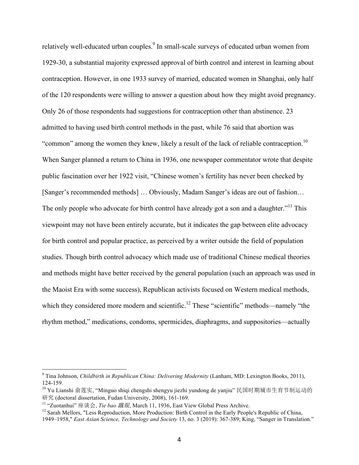relatively well-educated urban couples.<sup>9</sup> In small-scale surveys of educated urban women from 1929-30, a substantial majority expressed approval of birth control and interest in learning about contraception. However, in one 1933 survey of married, educated women in Shanghai, only half of the 120 respondents were willing to answer a question about how they might avoid pregnancy. Only 26 of those respondents had suggestions for contraception other than abstinence. 23 admitted to having used birth control methods in the past, while 76 said that abortion was "common" among the women they knew, likely a result of the lack of reliable contraception.<sup>10</sup> When Sanger planned a return to China in 1936, one newspaper commentator wrote that despite public fascination over her 1922 visit, "Chinese women's fertility has never been checked by [Sanger's recommended methods] … Obviously, Madam Sanger's ideas are out of fashion… The only people who advocate for birth control have already got a son and a daughter."<sup>11</sup> This viewpoint may not have been entirely accurate, but it indicates the gap between elite advocacy for birth control and popular practice, as perceived by a writer outside the field of population studies. Though birth control advocacy which made use of traditional Chinese medical theories and methods might have better received by the general population (such an approach was used in the Maoist Era with some success), Republican activists focused on Western medical methods, which they considered more modern and scientific.<sup>12</sup> These "scientific" methods—namely "the rhythm method," medications, condoms, spermicides, diaphragms, and suppositories—actually

 <sup>9</sup> Tina Johnson, *Childbirth in Republican China: Delivering Modernity* (Lanham, MD: Lexington Books, 2011), 124-159.

 $^{10}$  Yu Lianshi 俞莲实, "Minguo shiqi chengshi shengyu jiezhi yundong de yanjiu" 民国时期城市生育节制运动的 研究 (doctoral dissertation, Fudan University, 2008), 161-169.

<sup>11</sup> "Zuotanhui" 座谈会, *Tie bao* 鐵報, March 11, 1936, East View Global Press Archive.

<sup>&</sup>lt;sup>12</sup> Sarah Mellors, "Less Reproduction, More Production: Birth Control in the Early People's Republic of China, 1949–1958," *East Asian Science, Technology and Society* 13, no. 3 (2019): 367-389; King, "Sanger in Translation."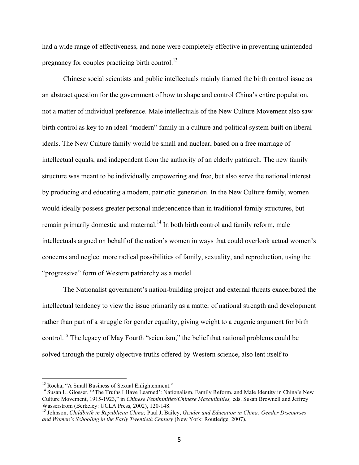had a wide range of effectiveness, and none were completely effective in preventing unintended pregnancy for couples practicing birth control.<sup>13</sup>

Chinese social scientists and public intellectuals mainly framed the birth control issue as an abstract question for the government of how to shape and control China's entire population, not a matter of individual preference. Male intellectuals of the New Culture Movement also saw birth control as key to an ideal "modern" family in a culture and political system built on liberal ideals. The New Culture family would be small and nuclear, based on a free marriage of intellectual equals, and independent from the authority of an elderly patriarch. The new family structure was meant to be individually empowering and free, but also serve the national interest by producing and educating a modern, patriotic generation. In the New Culture family, women would ideally possess greater personal independence than in traditional family structures, but remain primarily domestic and maternal.<sup>14</sup> In both birth control and family reform, male intellectuals argued on behalf of the nation's women in ways that could overlook actual women's concerns and neglect more radical possibilities of family, sexuality, and reproduction, using the "progressive" form of Western patriarchy as a model.

The Nationalist government's nation-building project and external threats exacerbated the intellectual tendency to view the issue primarily as a matter of national strength and development rather than part of a struggle for gender equality, giving weight to a eugenic argument for birth control.<sup>15</sup> The legacy of May Fourth "scientism," the belief that national problems could be solved through the purely objective truths offered by Western science, also lent itself to

<sup>&</sup>lt;sup>13</sup> Rocha, "A Small Business of Sexual Enlightenment."

<sup>&</sup>lt;sup>14</sup> Susan L. Glosser, "'The Truths I Have Learned': Nationalism, Family Reform, and Male Identity in China's New Culture Movement, 1915-1923," in *Chinese Femininities/Chinese Masculinities,* eds. Susan Brownell and Jeffrey

<sup>&</sup>lt;sup>15</sup> Johnson, *Childbirth in Republican China*; Paul J, Bailey, *Gender and Education in China: Gender Discourses and Women's Schooling in the Early Twentieth Century* (New York: Routledge, 2007).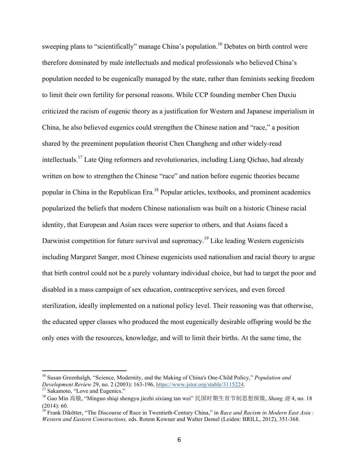sweeping plans to "scientifically" manage China's population.<sup>16</sup> Debates on birth control were therefore dominated by male intellectuals and medical professionals who believed China's population needed to be eugenically managed by the state, rather than feminists seeking freedom to limit their own fertility for personal reasons. While CCP founding member Chen Duxiu criticized the racism of eugenic theory as a justification for Western and Japanese imperialism in China, he also believed eugenics could strengthen the Chinese nation and "race," a position shared by the preeminent population theorist Chen Changheng and other widely-read intellectuals. <sup>17</sup> Late Qing reformers and revolutionaries, including Liang Qichao, had already written on how to strengthen the Chinese "race" and nation before eugenic theories became popular in China in the Republican Era.<sup>18</sup> Popular articles, textbooks, and prominent academics popularized the beliefs that modern Chinese nationalism was built on a historic Chinese racial identity, that European and Asian races were superior to others, and that Asians faced a Darwinist competition for future survival and supremacy.<sup>19</sup> Like leading Western eugenicists including Margaret Sanger, most Chinese eugenicists used nationalism and racial theory to argue that birth control could not be a purely voluntary individual choice, but had to target the poor and disabled in a mass campaign of sex education, contraceptive services, and even forced sterilization, ideally implemented on a national policy level. Their reasoning was that otherwise, the educated upper classes who produced the most eugenically desirable offspring would be the only ones with the resources, knowledge, and will to limit their births. At the same time, the

 <sup>16</sup> Susan Greenhalgh, "Science, Modernity, and the Making of China's One-Child Policy," *Population and Development Review* 29, no. 2 (2003): 163-196, https://www.jstor.org/stable/3115224.<br><sup>17</sup> Sakamoto, "Love and Eugenics."

<sup>18</sup> Gao Min 高敏, "Minguo shiqi shengyu jiezhi sixiang tan wei" 民国时期生育节制思想探微, *Shang* 商 4, no. 18 (2014): 60.

<sup>&</sup>lt;sup>19</sup> Frank Dikötter, "The Discourse of Race in Twentieth-Century China," in *Race and Racism in Modern East Asia* : *Western and Eastern Constructions,* eds. Rotem Kowner and Walter Demel (Leiden: BRILL, 2012), 351-368.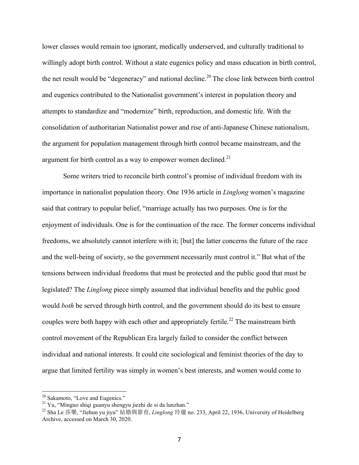lower classes would remain too ignorant, medically underserved, and culturally traditional to willingly adopt birth control. Without a state eugenics policy and mass education in birth control, the net result would be "degeneracy" and national decline.<sup>20</sup> The close link between birth control and eugenics contributed to the Nationalist government's interest in population theory and attempts to standardize and "modernize" birth, reproduction, and domestic life. With the consolidation of authoritarian Nationalist power and rise of anti-Japanese Chinese nationalism, the argument for population management through birth control became mainstream, and the argument for birth control as a way to empower women declined.<sup>21</sup>

Some writers tried to reconcile birth control's promise of individual freedom with its importance in nationalist population theory. One 1936 article in *Linglong* women's magazine said that contrary to popular belief, "marriage actually has two purposes. One is for the enjoyment of individuals. One is for the continuation of the race. The former concerns individual freedoms, we absolutely cannot interfere with it; [but] the latter concerns the future of the race and the well-being of society, so the government necessarily must control it." But what of the tensions between individual freedoms that must be protected and the public good that must be legislated? The *Linglong* piece simply assumed that individual benefits and the public good would *both* be served through birth control, and the government should do its best to ensure couples were both happy with each other and appropriately fertile.<sup>22</sup> The mainstream birth control movement of the Republican Era largely failed to consider the conflict between individual and national interests. It could cite sociological and feminist theories of the day to argue that limited fertility was simply in women's best interests, and women would come to

<sup>&</sup>lt;sup>20</sup> Sakamoto, "Love and Eugenics."<br><sup>21</sup> Yu, "Minguo shiqi guanyu shengyu jiezhi de si da lunzhan."

<sup>22</sup> Sha Le 莎樂, "Jiehun yu jiyu" 結婚與節育, *Linglong* 玲瓏 no. 233, April 22, 1936, University of Heidelberg Archive, accessed on March 30, 2020.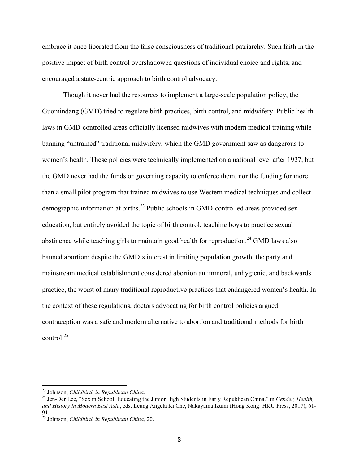embrace it once liberated from the false consciousness of traditional patriarchy. Such faith in the positive impact of birth control overshadowed questions of individual choice and rights, and encouraged a state-centric approach to birth control advocacy.

Though it never had the resources to implement a large-scale population policy, the Guomindang (GMD) tried to regulate birth practices, birth control, and midwifery. Public health laws in GMD-controlled areas officially licensed midwives with modern medical training while banning "untrained" traditional midwifery, which the GMD government saw as dangerous to women's health. These policies were technically implemented on a national level after 1927, but the GMD never had the funds or governing capacity to enforce them, nor the funding for more than a small pilot program that trained midwives to use Western medical techniques and collect demographic information at births.<sup>23</sup> Public schools in GMD-controlled areas provided sex education, but entirely avoided the topic of birth control, teaching boys to practice sexual abstinence while teaching girls to maintain good health for reproduction.<sup>24</sup> GMD laws also banned abortion: despite the GMD's interest in limiting population growth, the party and mainstream medical establishment considered abortion an immoral, unhygienic, and backwards practice, the worst of many traditional reproductive practices that endangered women's health. In the context of these regulations, doctors advocating for birth control policies argued contraception was a safe and modern alternative to abortion and traditional methods for birth control. 25

<sup>&</sup>lt;sup>23</sup> Johnson, *Childbirth in Republican China*.<br><sup>24</sup> Jen-Der Lee, "Sex in School: Educating the Junior High Students in Early Republican China," in *Gender, Health, and History in Modern East Asia*, eds. Leung Angela Ki Che, Nakayama Izumi (Hong Kong: HKU Press, 2017), 61- 91.

<sup>25</sup> Johnson, *Childbirth in Republican China,* 20.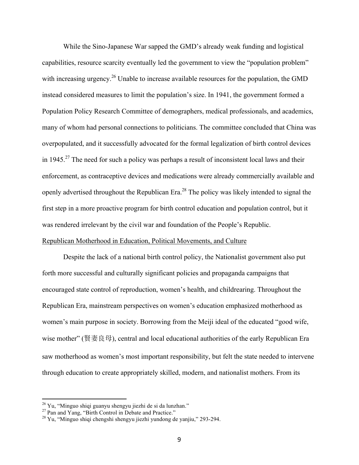While the Sino-Japanese War sapped the GMD's already weak funding and logistical capabilities, resource scarcity eventually led the government to view the "population problem" with increasing urgency.<sup>26</sup> Unable to increase available resources for the population, the GMD instead considered measures to limit the population's size. In 1941, the government formed a Population Policy Research Committee of demographers, medical professionals, and academics, many of whom had personal connections to politicians. The committee concluded that China was overpopulated, and it successfully advocated for the formal legalization of birth control devices in 1945.<sup>27</sup> The need for such a policy was perhaps a result of inconsistent local laws and their enforcement, as contraceptive devices and medications were already commercially available and openly advertised throughout the Republican Era.<sup>28</sup> The policy was likely intended to signal the first step in a more proactive program for birth control education and population control, but it was rendered irrelevant by the civil war and foundation of the People's Republic.

### Republican Motherhood in Education, Political Movements, and Culture

Despite the lack of a national birth control policy, the Nationalist government also put forth more successful and culturally significant policies and propaganda campaigns that encouraged state control of reproduction, women's health, and childrearing. Throughout the Republican Era, mainstream perspectives on women's education emphasized motherhood as women's main purpose in society. Borrowing from the Meiji ideal of the educated "good wife, wise mother" (賢妻良母), central and local educational authorities of the early Republican Era saw motherhood as women's most important responsibility, but felt the state needed to intervene through education to create appropriately skilled, modern, and nationalist mothers. From its

<sup>&</sup>lt;sup>26</sup> Yu, "Minguo shiqi guanyu shengyu jiezhi de si da lunzhan."<br><sup>27</sup> Pan and Yang, "Birth Control in Debate and Practice." <sup>28</sup> Yu, "Minguo shiqi chengshi shengyu jiezhi yundong de yanjiu," 293-294.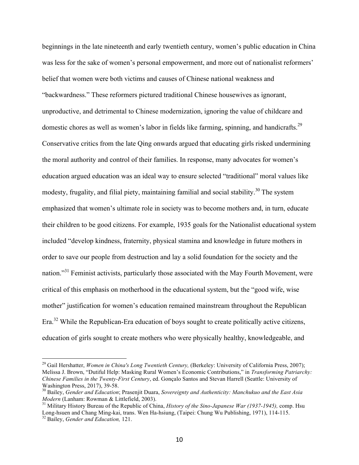beginnings in the late nineteenth and early twentieth century, women's public education in China was less for the sake of women's personal empowerment, and more out of nationalist reformers' belief that women were both victims and causes of Chinese national weakness and "backwardness." These reformers pictured traditional Chinese housewives as ignorant, unproductive, and detrimental to Chinese modernization, ignoring the value of childcare and domestic chores as well as women's labor in fields like farming, spinning, and handicrafts.<sup>29</sup> Conservative critics from the late Qing onwards argued that educating girls risked undermining the moral authority and control of their families. In response, many advocates for women's education argued education was an ideal way to ensure selected "traditional" moral values like modesty, frugality, and filial piety, maintaining familial and social stability.<sup>30</sup> The system emphasized that women's ultimate role in society was to become mothers and, in turn, educate their children to be good citizens. For example, 1935 goals for the Nationalist educational system included "develop kindness, fraternity, physical stamina and knowledge in future mothers in order to save our people from destruction and lay a solid foundation for the society and the nation.<sup>331</sup> Feminist activists, particularly those associated with the May Fourth Movement, were critical of this emphasis on motherhood in the educational system, but the "good wife, wise mother" justification for women's education remained mainstream throughout the Republican Era.<sup>32</sup> While the Republican-Era education of boys sought to create politically active citizens, education of girls sought to create mothers who were physically healthy, knowledgeable, and

<sup>&</sup>lt;sup>29</sup> Gail Hershatter, *Women in China's Long Twentieth Century*, (Berkeley: University of California Press, 2007); Melissa J. Brown, "Dutiful Help: Masking Rural Women's Economic Contributions," in *Transforming Patriarchy: Chinese Families in the Twenty-First Century*, ed. Gonçalo Santos and Stevan Harrell (Seattle: University of

Washington Press, 2017), 39-58.<br><sup>30</sup> Bailey, *Gender and Education*; Prasenjit Duara, *Sovereignty and Authenticity: Manchukuo and the East Asia Modern* (Lanham: Rowman & Littlefield, 2003).

<sup>&</sup>lt;sup>31</sup> Military History Bureau of the Republic of China, *History of the Sino-Japanese War (1937-1945)*, comp. Hsu Long-hsuen and Chang Ming-kai, trans. Wen Ha-hsiung, (Taipei: Chung Wu Publishing, 1971), 114-115. <sup>32</sup> Bailey, *Gender and Education,* 121.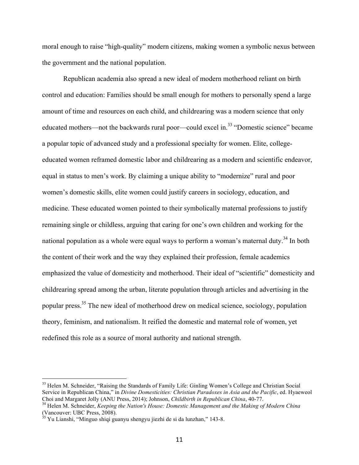moral enough to raise "high-quality" modern citizens, making women a symbolic nexus between the government and the national population.

Republican academia also spread a new ideal of modern motherhood reliant on birth control and education: Families should be small enough for mothers to personally spend a large amount of time and resources on each child, and childrearing was a modern science that only educated mothers—not the backwards rural poor—could excel in.<sup>33</sup> "Domestic science" became a popular topic of advanced study and a professional specialty for women. Elite, collegeeducated women reframed domestic labor and childrearing as a modern and scientific endeavor, equal in status to men's work. By claiming a unique ability to "modernize" rural and poor women's domestic skills, elite women could justify careers in sociology, education, and medicine. These educated women pointed to their symbolically maternal professions to justify remaining single or childless, arguing that caring for one's own children and working for the national population as a whole were equal ways to perform a woman's maternal duty.<sup>34</sup> In both the content of their work and the way they explained their profession, female academics emphasized the value of domesticity and motherhood. Their ideal of "scientific" domesticity and childrearing spread among the urban, literate population through articles and advertising in the popular press.35 The new ideal of motherhood drew on medical science, sociology, population theory, feminism, and nationalism. It reified the domestic and maternal role of women, yet redefined this role as a source of moral authority and national strength.

 

<sup>&</sup>lt;sup>33</sup> Helen M. Schneider, "Raising the Standards of Family Life: Ginling Women's College and Christian Social Service in Republican China," in *Divine Domesticities: Christian Paradoxes in Asia and the Pacific*, ed. Hyaeweol Choi and Margaret Jolly (ANU Press, 2014); Johnson, *Childbirth in Republican China*, 40-77.

<sup>&</sup>lt;sup>34</sup> Helen M. Schneider, *Keeping the Nation's House: Domestic Management and the Making of Modern China* (Vancouver: UBC Press, 2008).

<sup>&</sup>lt;sup>35</sup> Yu Lianshi, "Minguo shiqi guanyu shengyu jiezhi de si da lunzhan," 143-8.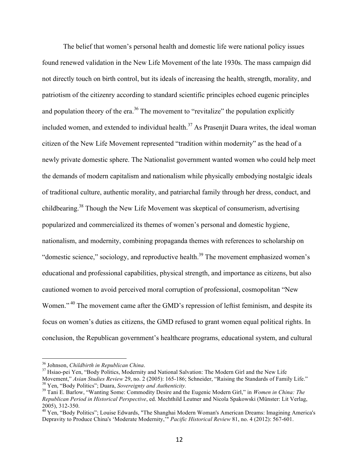The belief that women's personal health and domestic life were national policy issues found renewed validation in the New Life Movement of the late 1930s. The mass campaign did not directly touch on birth control, but its ideals of increasing the health, strength, morality, and patriotism of the citizenry according to standard scientific principles echoed eugenic principles and population theory of the era.<sup>36</sup> The movement to "revitalize" the population explicitly included women, and extended to individual health.<sup>37</sup> As Prasenjit Duara writes, the ideal woman citizen of the New Life Movement represented "tradition within modernity" as the head of a newly private domestic sphere. The Nationalist government wanted women who could help meet the demands of modern capitalism and nationalism while physically embodying nostalgic ideals of traditional culture, authentic morality, and patriarchal family through her dress, conduct, and childbearing.<sup>38</sup> Though the New Life Movement was skeptical of consumerism, advertising popularized and commercialized its themes of women's personal and domestic hygiene, nationalism, and modernity, combining propaganda themes with references to scholarship on "domestic science," sociology, and reproductive health.<sup>39</sup> The movement emphasized women's educational and professional capabilities, physical strength, and importance as citizens, but also cautioned women to avoid perceived moral corruption of professional, cosmopolitan "New Women."<sup>40</sup> The movement came after the GMD's repression of leftist feminism, and despite its focus on women's duties as citizens, the GMD refused to grant women equal political rights. In conclusion, the Republican government's healthcare programs, educational system, and cultural

<sup>&</sup>lt;sup>36</sup> Johnson, *Childbirth in Republican China*.<br><sup>37</sup> Hsiao-pei Yen, "Body Politics, Modernity and National Salvation: The Modern Girl and the New Life Movement," Asian Studies Review 29, no. 2 (2005): 165-186; Schneider, "Raising the Standards of Family Life."<br><sup>38</sup> Yen, "Body Politics"; Duara, *Sovereignty and Authenticity*.<br><sup>39</sup> Tani E. Barlow, "Wanting Some: Commodity

*Republican Period in Historical Perspective*, ed. Mechthild Leutner and Nicola Spakowski (Münster: Lit Verlag,

<sup>2005), 312-350.&</sup>lt;br><sup>40</sup> Yen, "Body Politics"; Louise Edwards, "The Shanghai Modern Woman's American Dreams: Imagining America's Depravity to Produce China's 'Moderate Modernity,'" *Pacific Historical Review* 81, no. 4 (2012): 567-601.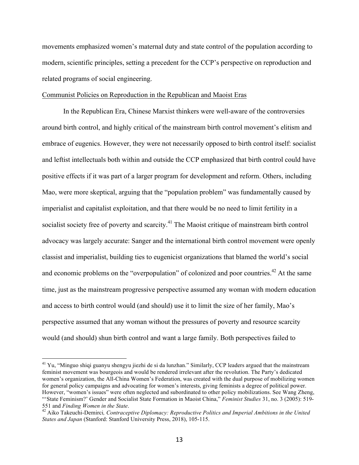movements emphasized women's maternal duty and state control of the population according to modern, scientific principles, setting a precedent for the CCP's perspective on reproduction and related programs of social engineering.

#### Communist Policies on Reproduction in the Republican and Maoist Eras

In the Republican Era, Chinese Marxist thinkers were well-aware of the controversies around birth control, and highly critical of the mainstream birth control movement's elitism and embrace of eugenics. However, they were not necessarily opposed to birth control itself: socialist and leftist intellectuals both within and outside the CCP emphasized that birth control could have positive effects if it was part of a larger program for development and reform. Others, including Mao, were more skeptical, arguing that the "population problem" was fundamentally caused by imperialist and capitalist exploitation, and that there would be no need to limit fertility in a socialist society free of poverty and scarcity.<sup>41</sup> The Maoist critique of mainstream birth control advocacy was largely accurate: Sanger and the international birth control movement were openly classist and imperialist, building ties to eugenicist organizations that blamed the world's social and economic problems on the "overpopulation" of colonized and poor countries.<sup>42</sup> At the same time, just as the mainstream progressive perspective assumed any woman with modern education and access to birth control would (and should) use it to limit the size of her family, Mao's perspective assumed that any woman without the pressures of poverty and resource scarcity would (and should) shun birth control and want a large family. Both perspectives failed to

<sup>&</sup>lt;sup>41</sup> Yu, "Minguo shiqi guanyu shengyu jiezhi de si da lunzhan." Similarly, CCP leaders argued that the mainstream feminist movement was bourgeois and would be rendered irrelevant after the revolution. The Party's dedicated women's organization, the All-China Women's Federation, was created with the dual purpose of mobilizing women for general policy campaigns and advocating for women's interests, giving feminists a degree of political power. However, "women's issues" were often neglected and subordinated to other policy mobilizations. See Wang Zheng, "'State Feminism?' Gender and Socialist State Formation in Maoist China," *Feminist Studies* 31, no. 3 (2005): 519- 551 and *Finding Women in the State*.<br><sup>42</sup> Aiko Takeuchi-Demirci, *Contraceptive Diplomacy: Reproductive Politics and Imperial Ambitions in the United* 

*States and Japan* (Stanford: Stanford University Press, 2018), 105-115.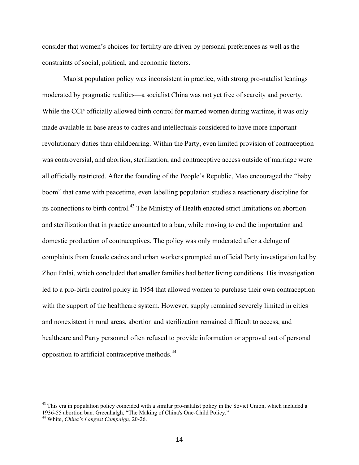consider that women's choices for fertility are driven by personal preferences as well as the constraints of social, political, and economic factors.

Maoist population policy was inconsistent in practice, with strong pro-natalist leanings moderated by pragmatic realities—a socialist China was not yet free of scarcity and poverty. While the CCP officially allowed birth control for married women during wartime, it was only made available in base areas to cadres and intellectuals considered to have more important revolutionary duties than childbearing. Within the Party, even limited provision of contraception was controversial, and abortion, sterilization, and contraceptive access outside of marriage were all officially restricted. After the founding of the People's Republic, Mao encouraged the "baby boom" that came with peacetime, even labelling population studies a reactionary discipline for its connections to birth control.<sup>43</sup> The Ministry of Health enacted strict limitations on abortion and sterilization that in practice amounted to a ban, while moving to end the importation and domestic production of contraceptives. The policy was only moderated after a deluge of complaints from female cadres and urban workers prompted an official Party investigation led by Zhou Enlai, which concluded that smaller families had better living conditions. His investigation led to a pro-birth control policy in 1954 that allowed women to purchase their own contraception with the support of the healthcare system. However, supply remained severely limited in cities and nonexistent in rural areas, abortion and sterilization remained difficult to access, and healthcare and Party personnel often refused to provide information or approval out of personal opposition to artificial contraceptive methods.<sup>44</sup>

 $43$  This era in population policy coincided with a similar pro-natalist policy in the Soviet Union, which included a 1936-55 abortion ban. Greenhalgh, "The Making of China's One-Child Policy." <sup>44</sup> White, *China's Longest Campaign,* 20-26.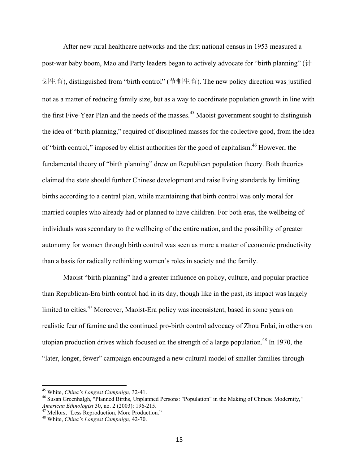After new rural healthcare networks and the first national census in 1953 measured a post-war baby boom, Mao and Party leaders began to actively advocate for "birth planning" (计 划生育), distinguished from "birth control" (节制生育). The new policy direction was justified not as a matter of reducing family size, but as a way to coordinate population growth in line with the first Five-Year Plan and the needs of the masses.<sup>45</sup> Maoist government sought to distinguish the idea of "birth planning," required of disciplined masses for the collective good, from the idea of "birth control," imposed by elitist authorities for the good of capitalism.<sup>46</sup> However, the fundamental theory of "birth planning" drew on Republican population theory. Both theories claimed the state should further Chinese development and raise living standards by limiting births according to a central plan, while maintaining that birth control was only moral for married couples who already had or planned to have children. For both eras, the wellbeing of individuals was secondary to the wellbeing of the entire nation, and the possibility of greater autonomy for women through birth control was seen as more a matter of economic productivity than a basis for radically rethinking women's roles in society and the family.

Maoist "birth planning" had a greater influence on policy, culture, and popular practice than Republican-Era birth control had in its day, though like in the past, its impact was largely limited to cities.<sup>47</sup> Moreover, Maoist-Era policy was inconsistent, based in some years on realistic fear of famine and the continued pro-birth control advocacy of Zhou Enlai, in others on utopian production drives which focused on the strength of a large population.<sup>48</sup> In 1970, the "later, longer, fewer" campaign encouraged a new cultural model of smaller families through

<sup>&</sup>lt;sup>45</sup> White, *China's Longest Campaign*, 32-41.<br><sup>46</sup> Susan Greenhalgh, "Planned Births, Unplanned Persons: "Population" in the Making of Chinese Modernity," *American Ethnologist* 30, no. 2 (2003): 196-215. <sup>47</sup> Mellors, "Less Reproduction, More Production." <sup>48</sup> White, *China's Longest Campaign,* 42-70.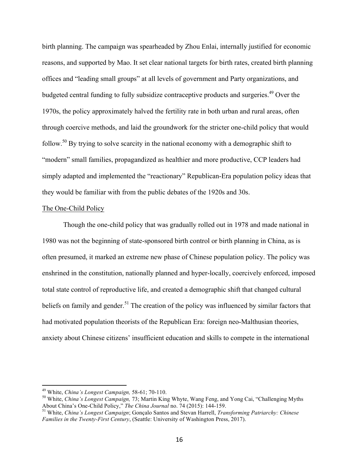birth planning. The campaign was spearheaded by Zhou Enlai, internally justified for economic reasons, and supported by Mao. It set clear national targets for birth rates, created birth planning offices and "leading small groups" at all levels of government and Party organizations, and budgeted central funding to fully subsidize contraceptive products and surgeries.<sup>49</sup> Over the 1970s, the policy approximately halved the fertility rate in both urban and rural areas, often through coercive methods, and laid the groundwork for the stricter one-child policy that would follow.<sup>50</sup> By trying to solve scarcity in the national economy with a demographic shift to "modern" small families, propagandized as healthier and more productive, CCP leaders had simply adapted and implemented the "reactionary" Republican-Era population policy ideas that they would be familiar with from the public debates of the 1920s and 30s.

### The One-Child Policy

Though the one-child policy that was gradually rolled out in 1978 and made national in 1980 was not the beginning of state-sponsored birth control or birth planning in China, as is often presumed, it marked an extreme new phase of Chinese population policy. The policy was enshrined in the constitution, nationally planned and hyper-locally, coercively enforced, imposed total state control of reproductive life, and created a demographic shift that changed cultural beliefs on family and gender.<sup>51</sup> The creation of the policy was influenced by similar factors that had motivated population theorists of the Republican Era: foreign neo-Malthusian theories, anxiety about Chinese citizens' insufficient education and skills to compete in the international

<sup>&</sup>lt;sup>49</sup> White, *China's Longest Campaign*, 58-61; 70-110.<br><sup>50</sup> White, *China's Longest Campaign, 73*; Martin King Whyte, Wang Feng, and Yong Cai, "Challenging Myths About China's One-Child Policy," *The China Journal* no. 74 (2015): 144-159. <sup>51</sup> White, *China's Longest Campaign*; Gonçalo Santos and Stevan Harrell, *Transforming Patriarchy: Chinese* 

*Families in the Twenty-First Century*, (Seattle: University of Washington Press, 2017).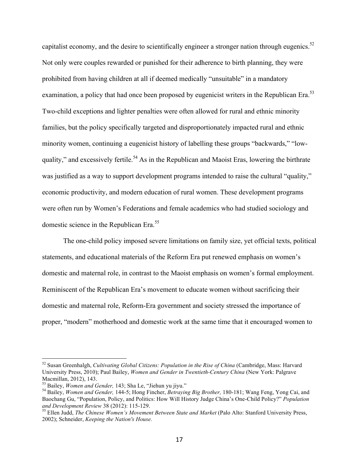capitalist economy, and the desire to scientifically engineer a stronger nation through eugenics.<sup>52</sup> Not only were couples rewarded or punished for their adherence to birth planning, they were prohibited from having children at all if deemed medically "unsuitable" in a mandatory examination, a policy that had once been proposed by eugenicist writers in the Republican Era.<sup>53</sup> Two-child exceptions and lighter penalties were often allowed for rural and ethnic minority families, but the policy specifically targeted and disproportionately impacted rural and ethnic minority women, continuing a eugenicist history of labelling these groups "backwards," "lowquality," and excessively fertile.<sup>54</sup> As in the Republican and Maoist Eras, lowering the birthrate was justified as a way to support development programs intended to raise the cultural "quality," economic productivity, and modern education of rural women. These development programs were often run by Women's Federations and female academics who had studied sociology and domestic science in the Republican Era.<sup>55</sup>

The one-child policy imposed severe limitations on family size, yet official texts, political statements, and educational materials of the Reform Era put renewed emphasis on women's domestic and maternal role, in contrast to the Maoist emphasis on women's formal employment. Reminiscent of the Republican Era's movement to educate women without sacrificing their domestic and maternal role, Reform-Era government and society stressed the importance of proper, "modern" motherhood and domestic work at the same time that it encouraged women to

 <sup>52</sup> Susan Greenhalgh, *Cultivating Global Citizens: Population in the Rise of China* (Cambridge, Mass: Harvard University Press, 2010); Paul Bailey, *Women and Gender in Twentieth-Century China* (New York: Palgrave Macmillan, 2012), 143.<br><sup>53</sup> Bailey, *Women and Gender*, 143; Sha Le, "Jiehun yu jiyu."

<sup>&</sup>lt;sup>54</sup> Bailey, *Women and Gender,* 144-5; Hong Fincher, Betraying Big Brother, 180-181; Wang Feng, Yong Cai, and Baochang Gu, "Population, Policy, and Politics: How Will History Judge China's One-Child Policy?" *Population* 

<sup>&</sup>lt;sup>55</sup> Ellen Judd, *The Chinese Women's Movement Between State and Market* (Palo Alto: Stanford University Press, 2002); Schneider, *Keeping the Nation's House.*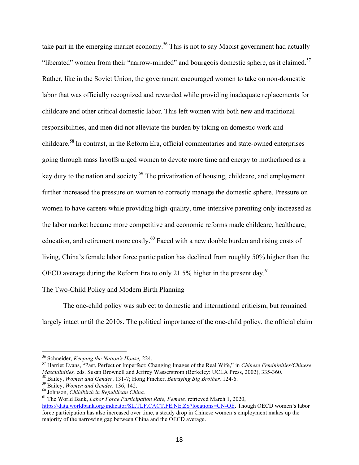take part in the emerging market economy.<sup>56</sup> This is not to say Maoist government had actually "liberated" women from their "narrow-minded" and bourgeois domestic sphere, as it claimed.<sup>57</sup> Rather, like in the Soviet Union, the government encouraged women to take on non-domestic labor that was officially recognized and rewarded while providing inadequate replacements for childcare and other critical domestic labor. This left women with both new and traditional responsibilities, and men did not alleviate the burden by taking on domestic work and childcare.<sup>58</sup> In contrast, in the Reform Era, official commentaries and state-owned enterprises going through mass layoffs urged women to devote more time and energy to motherhood as a key duty to the nation and society.<sup>59</sup> The privatization of housing, childcare, and employment further increased the pressure on women to correctly manage the domestic sphere. Pressure on women to have careers while providing high-quality, time-intensive parenting only increased as the labor market became more competitive and economic reforms made childcare, healthcare, education, and retirement more costly.<sup>60</sup> Faced with a new double burden and rising costs of living, China's female labor force participation has declined from roughly 50% higher than the OECD average during the Reform Era to only 21.5% higher in the present day.<sup>61</sup>

### The Two-Child Policy and Modern Birth Planning

The one-child policy was subject to domestic and international criticism, but remained largely intact until the 2010s. The political importance of the one-child policy, the official claim

<sup>&</sup>lt;sup>56</sup> Schneider, *Keeping the Nation's House*, 224.<br><sup>57</sup> Harriet Evans, "Past, Perfect or Imperfect: Changing Images of the Real Wife," in *Chinese Femininities/Chinese*<br>*Masculinities*, eds. Susan Brownell and Jeffrey Wass

<sup>&</sup>lt;sup>58</sup> Bailey, *Women and Gender*, 131-7; Hong Fincher, *Betraying Big Brother*, 124-6.<br><sup>59</sup> Bailey, *Women and Gender*, 136, 142.<br><sup>60</sup> Johnson, *Childbirth in Republican China*.<br><sup>61</sup> The World Bank, *Labor Force Participat* 

https://data.worldbank.org/indicator/SL.TLF.CACT.FE.NE.ZS?locations=CN-OE. Though OECD women's labor force participation has also increased over time, a steady drop in Chinese women's employment makes up the majority of the narrowing gap between China and the OECD average.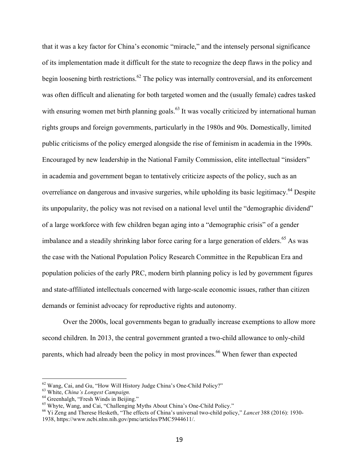that it was a key factor for China's economic "miracle," and the intensely personal significance of its implementation made it difficult for the state to recognize the deep flaws in the policy and begin loosening birth restrictions.<sup>62</sup> The policy was internally controversial, and its enforcement was often difficult and alienating for both targeted women and the (usually female) cadres tasked with ensuring women met birth planning goals.<sup>63</sup> It was vocally criticized by international human rights groups and foreign governments, particularly in the 1980s and 90s. Domestically, limited public criticisms of the policy emerged alongside the rise of feminism in academia in the 1990s. Encouraged by new leadership in the National Family Commission, elite intellectual "insiders" in academia and government began to tentatively criticize aspects of the policy, such as an overreliance on dangerous and invasive surgeries, while upholding its basic legitimacy.<sup>64</sup> Despite its unpopularity, the policy was not revised on a national level until the "demographic dividend" of a large workforce with few children began aging into a "demographic crisis" of a gender imbalance and a steadily shrinking labor force caring for a large generation of elders.<sup>65</sup> As was the case with the National Population Policy Research Committee in the Republican Era and population policies of the early PRC, modern birth planning policy is led by government figures and state-affiliated intellectuals concerned with large-scale economic issues, rather than citizen demands or feminist advocacy for reproductive rights and autonomy.

Over the 2000s, local governments began to gradually increase exemptions to allow more second children. In 2013, the central government granted a two-child allowance to only-child parents, which had already been the policy in most provinces.<sup>66</sup> When fewer than expected

 

<sup>&</sup>lt;sup>62</sup> Wang, Cai, and Gu, "How Will History Judge China's One-Child Policy?"<br><sup>63</sup> White, *China's Longest Campaign*.<br><sup>64</sup> Greenhalgh, "Fresh Winds in Beijing."<br><sup>65</sup> Whyte, Wang, and Cai, "Challenging Myths About China's One 1938, https://www.ncbi.nlm.nih.gov/pmc/articles/PMC5944611/.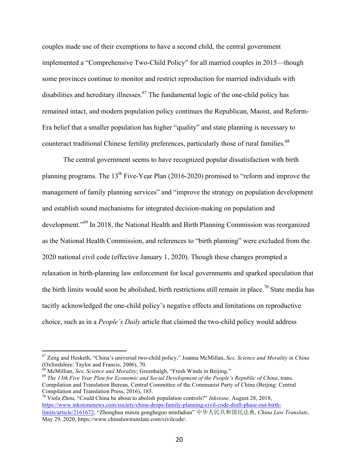couples made use of their exemptions to have a second child, the central government implemented a "Comprehensive Two-Child Policy" for all married couples in 2015—though some provinces continue to monitor and restrict reproduction for married individuals with disabilities and hereditary illnesses.<sup>67</sup> The fundamental logic of the one-child policy has remained intact, and modern population policy continues the Republican, Maoist, and Reform-Era belief that a smaller population has higher "quality" and state planning is necessary to counteract traditional Chinese fertility preferences, particularly those of rural families.<sup>68</sup>

The central government seems to have recognized popular dissatisfaction with birth planning programs. The  $13<sup>th</sup>$  Five-Year Plan (2016-2020) promised to "reform and improve the management of family planning services" and "improve the strategy on population development and establish sound mechanisms for integrated decision-making on population and development."<sup>69</sup> In 2018, the National Health and Birth Planning Commission was reorganized as the National Health Commission, and references to "birth planning" were excluded from the 2020 national civil code (effective January 1, 2020). Though these changes prompted a relaxation in birth-planning law enforcement for local governments and sparked speculation that the birth limits would soon be abolished, birth restrictions still remain in place.<sup>70</sup> State media has tacitly acknowledged the one-child policy's negative effects and limitations on reproductive choice, such as in a *People's Daily* article that claimed the two-child policy would address

 <sup>67</sup> Zeng and Hesketh, "China's universal two-child policy," Joanna McMillan, *Sex, Science and Morality in China* (Oxfordshire: Taylor and Francis, 2006), 70.<br>
<sup>68</sup> McMillian, *Sex, Science and Morality*; Greenhalgh, "Fresh Winds in Beijing."

<sup>&</sup>lt;sup>69</sup> The 13th Five Year Plan for Economic and Social Development of the People's Republic of China, trans. Compilation and Translation Bureau, Central Committee of the Communist Party of China (Beijing: Central Compilation and Translation Press, 2016), 185.

<sup>70</sup> Viola Zhou, "Could China be about to abolish population controls?" *Inkstone,* August 28, 2018, https://www.inkstonenews.com/society/china-drops-family-planning-civil-code-draft-phase-out-birthlimits/article/2161672; "Zhonghua minzu gongheguo minfadian" 中华人民共和国民法典, *China Law Translate*, May 29, 2020, https://www.chinalawtranslate.com/civilcode/.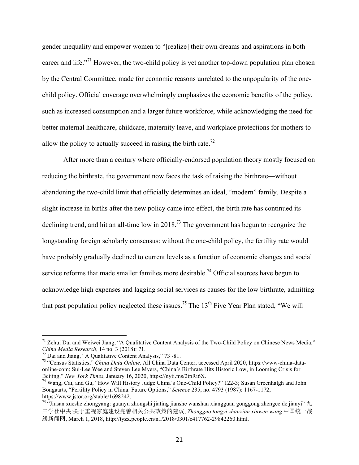gender inequality and empower women to "[realize] their own dreams and aspirations in both career and life.<sup> $n^{71}$ </sup> However, the two-child policy is yet another top-down population plan chosen by the Central Committee, made for economic reasons unrelated to the unpopularity of the onechild policy. Official coverage overwhelmingly emphasizes the economic benefits of the policy, such as increased consumption and a larger future workforce, while acknowledging the need for better maternal healthcare, childcare, maternity leave, and workplace protections for mothers to allow the policy to actually succeed in raising the birth rate.<sup>72</sup>

After more than a century where officially-endorsed population theory mostly focused on reducing the birthrate, the government now faces the task of raising the birthrate—without abandoning the two-child limit that officially determines an ideal, "modern" family. Despite a slight increase in births after the new policy came into effect, the birth rate has continued its declining trend, and hit an all-time low in 2018.<sup>73</sup> The government has begun to recognize the longstanding foreign scholarly consensus: without the one-child policy, the fertility rate would have probably gradually declined to current levels as a function of economic changes and social service reforms that made smaller families more desirable.<sup>74</sup> Official sources have begun to acknowledge high expenses and lagging social services as causes for the low birthrate, admitting that past population policy neglected these issues.<sup>75</sup> The 13<sup>th</sup> Five Year Plan stated, "We will

<sup>&</sup>lt;sup>71</sup> Zehui Dai and Weiwei Jiang, "A Qualitative Content Analysis of the Two-Child Policy on Chinese News Media,"<br>China Media Research, 14 no. 3 (2018): 71. China Media Research, 14 no. 3 (2018): 71.<br><sup>72</sup> Dai and Jiang, "A Qualitative Content Analysis," 73 -81.<br><sup>73</sup> "Census Statistics," China Data Online, All China Data Center, accessed April 2020, https://www-china-data-

online-com; Sui-Lee Wee and Steven Lee Myers, "China's Birthrate Hits Historic Low, in Looming Crisis for Beijing," *New York Times*, January 16, 2020, https://nyti.ms/2tpRi6X.<br><sup>74</sup> Wang, Cai, and Gu, "How Will History Judge China's One-Child Policy?" 122-3; Susan Greenhalgh and John

Bongaarts, "Fertility Policy in China: Future Options," *Science* 235, no. 4793 (1987): 1167-1172, https://www.jstor.org/stable/1698242.

<sup>&</sup>lt;sup>75</sup> "Jiusan xueshe zhongyang: guanyu zhongshi jiating jianshe wanshan xiangguan gonggong zhengce de jianyi"  $\hbar$ 三学社中央:关于重视家庭建设完善相关公共政策的建议, *Zhongguo tongyi zhanxian xinwen wang* 中国统一战 线新闻网, March 1, 2018, http://tyzx.people.cn/n1/2018/0301/c417762-29842260.html.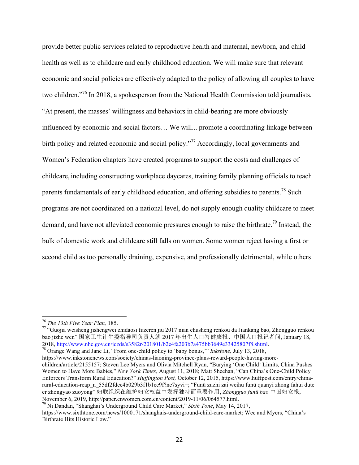provide better public services related to reproductive health and maternal, newborn, and child health as well as to childcare and early childhood education. We will make sure that relevant economic and social policies are effectively adapted to the policy of allowing all couples to have two children."<sup>76</sup> In 2018, a spokesperson from the National Health Commission told journalists, "At present, the masses' willingness and behaviors in child-bearing are more obviously influenced by economic and social factors… We will... promote a coordinating linkage between birth policy and related economic and social policy.<sup>"77</sup> Accordingly, local governments and Women's Federation chapters have created programs to support the costs and challenges of childcare, including constructing workplace daycares, training family planning officials to teach parents fundamentals of early childhood education, and offering subsidies to parents.<sup>78</sup> Such programs are not coordinated on a national level, do not supply enough quality childcare to meet demand, and have not alleviated economic pressures enough to raise the birthrate.<sup>79</sup> Instead, the bulk of domestic work and childcare still falls on women. Some women reject having a first or second child as too personally draining, expensive, and professionally detrimental, while others

https://www.inkstonenews.com/society/chinas-liaoning-province-plans-reward-people-having-morechildren/article/2155157; Steven Lee Myers and Olivia Mitchell Ryan, "Burying 'One Child' Limits, China Pushes Women to Have More Babies," *New York Times*, August 11, 2018; Matt Sheehan, "Can China's One-Child Policy Enforcers Transform Rural Education?" *Huffington Post,* October 12, 2015, https://www.huffpost.com/entry/chinarural-education-reap\_n\_55df2fdee4b029b3f1b1cc9f?nc7syvi=; "Funü zuzhi zai weihu funü quanyi zhong fahui dute er zhongyao zuoyong" 妇联组织在维护妇女权益中发挥独特而重要作用, *Zhongguo funü bao* 中国妇女报, November 6, 2019, http://paper.cnwomen.com.cn/content/2019-11/06/064577.html. <sup>79</sup> Ni Dandan, "Shanghai's Underground Child Care Market," *Sixth Tone*, May 14, 2017,

<sup>&</sup>lt;sup>76</sup> *The 13th Five Year Plan,* 185.<br><sup>77</sup> "Guojia weisheng jishengwei zhidaosi fuzeren jiu 2017 nian chusheng renkou da Jiankang bao, Zhongguo renkou bao jizhe wen" 国家卫生计生委指导司负责人就 2017 年出生人口答健康报、中国人口报记者问, January 18, 2018, http://www.nhc.gov.cn/jczds/s3582r/201801/b2e4fa203b7a475bb3649e33425807f8.shtml. <sup>78</sup> Orange Wang and Jane Li, "From one-child policy to 'baby bonus,'" *Inkstone,* July 13, 2018,

https://www.sixthtone.com/news/1000171/shanghais-underground-child-care-market; Wee and Myers, "China's Birthrate Hits Historic Low."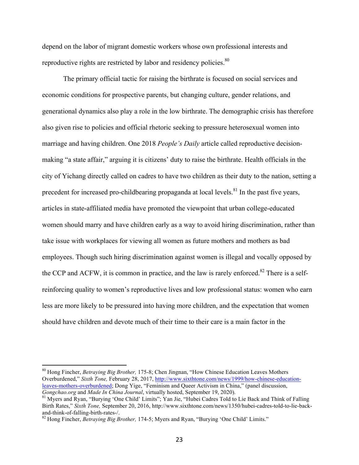depend on the labor of migrant domestic workers whose own professional interests and reproductive rights are restricted by labor and residency policies.<sup>80</sup>

The primary official tactic for raising the birthrate is focused on social services and economic conditions for prospective parents, but changing culture, gender relations, and generational dynamics also play a role in the low birthrate. The demographic crisis has therefore also given rise to policies and official rhetoric seeking to pressure heterosexual women into marriage and having children. One 2018 *People's Daily* article called reproductive decisionmaking "a state affair," arguing it is citizens' duty to raise the birthrate. Health officials in the city of Yichang directly called on cadres to have two children as their duty to the nation, setting a precedent for increased pro-childbearing propaganda at local levels.<sup>81</sup> In the past five years, articles in state-affiliated media have promoted the viewpoint that urban college-educated women should marry and have children early as a way to avoid hiring discrimination, rather than take issue with workplaces for viewing all women as future mothers and mothers as bad employees. Though such hiring discrimination against women is illegal and vocally opposed by the CCP and ACFW, it is common in practice, and the law is rarely enforced.<sup>82</sup> There is a selfreinforcing quality to women's reproductive lives and low professional status: women who earn less are more likely to be pressured into having more children, and the expectation that women should have children and devote much of their time to their care is a main factor in the

 <sup>80</sup> Hong Fincher, *Betraying Big Brother,* 175-8; Chen Jingnan, "How Chinese Education Leaves Mothers Overburdened," *Sixth Tone,* February 28, 2017, http://www.sixthtone.com/news/1999/how-chinese-educationleaves-mothers-overburdened; Dong Yige, "Feminism and Queer Activism in China," (panel discussion, Gongchao.org and Made In China Journal, virtually hosted, September 19, 2020).

<sup>&</sup>lt;sup>81</sup> Myers and Ryan, "Burying 'One Child' Limits"; Yan Jie, "Hubei Cadres Told to Lie Back and Think of Falling Birth Rates," *Sixth Tone,* September 20, 2016, http://www.sixthtone.com/news/1350/hubei-cadres-told-to-lie-backand-think-of-falling-birth-rates-/. <sup>82</sup> Hong Fincher, *Betraying Big Brother,* 174-5; Myers and Ryan, "Burying 'One Child' Limits."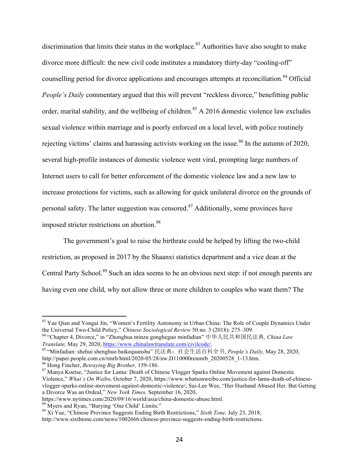discrimination that limits their status in the workplace.<sup>83</sup> Authorities have also sought to make divorce more difficult: the new civil code institutes a mandatory thirty-day "cooling-off" counselling period for divorce applications and encourages attempts at reconciliation. <sup>84</sup> Official *People's Daily* commentary argued that this will prevent "reckless divorce," benefitting public order, marital stability, and the wellbeing of children.<sup>85</sup> A 2016 domestic violence law excludes sexual violence within marriage and is poorly enforced on a local level, with police routinely rejecting victims' claims and harassing activists working on the issue.<sup>86</sup> In the autumn of 2020, several high-profile instances of domestic violence went viral, prompting large numbers of Internet users to call for better enforcement of the domestic violence law and a new law to increase protections for victims, such as allowing for quick unilateral divorce on the grounds of personal safety. The latter suggestion was censored.<sup>87</sup> Additionally, some provinces have imposed stricter restrictions on abortion.<sup>88</sup>

The government's goal to raise the birthrate could be helped by lifting the two-child restriction, as proposed in 2017 by the Shaanxi statistics department and a vice dean at the Central Party School.<sup>89</sup> Such an idea seems to be an obvious next step: if not enough parents are having even one child, why not allow three or more children to couples who want them? The

<sup>&</sup>lt;sup>83</sup> Yue Qian and Yongai Jin, "Women's Fertility Autonomy in Urban China: The Role of Couple Dynamics Under the Universal Two-Child Policy," *Chinese Sociological Review* 50 no. 3 (2018): 275–309.

<sup>84</sup> "Chapter 4, Divorce," in "Zhonghua minzu gongheguo minfadian" 中华人民共和国民法典*, China Law Translate,* May 29, 2020, https://www.chinalawtranslate.com/civilcode/.

<sup>85</sup> "Minfadian: shehui shenghuo baikequanshu" 民法典:社会生活百科全书, *People's Daily,* May 28, 2020,

<sup>&</sup>lt;sup>86</sup> Hong Fincher, *Betraying Big Brother*, 159-186.<br><sup>87</sup> Manya Koetse, "Justice for Lamu: Death of Chinese Vlogger Sparks Online Movement against Domestic Violence," *What's On Weibo,* October 7, 2020, https://www.whatsonweibo.com/justice-for-lamu-death-of-chinesevlogger-sparks-online-movement-against-domestic-violence/; Sui-Lee Wee, "Her Husband Abused Her. But Getting a Divorce Was an Ordeal," *New York Times,* September 16, 2020,

https://www.nytimes.com/2020/09/16/world/asia/china-domestic-abuse.html.<br><sup>88</sup> Myers and Ryan, "Burying 'One Child' Limits."<br><sup>89</sup> Xi Yue, "Chinese Province Suggests Ending Birth Restrictions," *Sixth Tone, July 23, 2018*,

http://www.sixthtone.com/news/1002666/chinese-province-suggests-ending-birth-restrictions.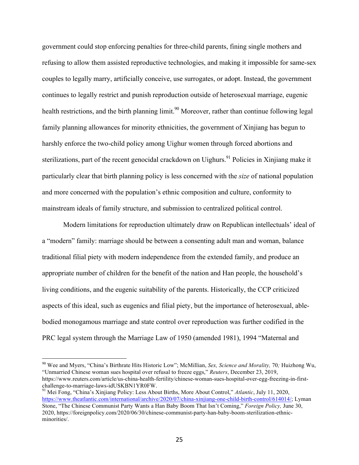government could stop enforcing penalties for three-child parents, fining single mothers and refusing to allow them assisted reproductive technologies, and making it impossible for same-sex couples to legally marry, artificially conceive, use surrogates, or adopt. Instead, the government continues to legally restrict and punish reproduction outside of heterosexual marriage, eugenic health restrictions, and the birth planning limit.<sup>90</sup> Moreover, rather than continue following legal family planning allowances for minority ethnicities, the government of Xinjiang has begun to harshly enforce the two-child policy among Uighur women through forced abortions and sterilizations, part of the recent genocidal crackdown on Uighurs.<sup>91</sup> Policies in Xinjiang make it particularly clear that birth planning policy is less concerned with the *size* of national population and more concerned with the population's ethnic composition and culture, conformity to mainstream ideals of family structure, and submission to centralized political control.

Modern limitations for reproduction ultimately draw on Republican intellectuals' ideal of a "modern" family: marriage should be between a consenting adult man and woman, balance traditional filial piety with modern independence from the extended family, and produce an appropriate number of children for the benefit of the nation and Han people, the household's living conditions, and the eugenic suitability of the parents. Historically, the CCP criticized aspects of this ideal, such as eugenics and filial piety, but the importance of heterosexual, ablebodied monogamous marriage and state control over reproduction was further codified in the PRC legal system through the Marriage Law of 1950 (amended 1981), 1994 "Maternal and

 <sup>90</sup> Wee and Myers, "China's Birthrate Hits Historic Low"; McMillian, *Sex, Science and Morality,* <sup>70</sup>*;* Huizhong Wu, "Unmarried Chinese woman sues hospital over refusal to freeze eggs," *Reuters*, December 23, 2019, https://www.reuters.com/article/us-china-health-fertility/chinese-woman-sues-hospital-over-egg-freezing-in-first-

<sup>&</sup>lt;sup>91</sup> Mei Fong, "China's Xinjiang Policy: Less About Births, More About Control," *Atlantic*, July 11, 2020, https://www.theatlantic.com/international/archive/2020/07/china-xinjiang-one-child-birth-control/614014/; Lyman Stone, "The Chinese Communist Party Wants a Han Baby Boom That Isn't Coming," *Foreign Policy,* June 30, 2020, https://foreignpolicy.com/2020/06/30/chinese-communist-party-han-baby-boom-sterilization-ethnicminorities/.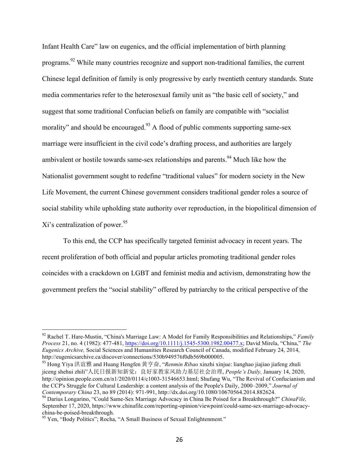Infant Health Care" law on eugenics, and the official implementation of birth planning programs.92 While many countries recognize and support non-traditional families, the current Chinese legal definition of family is only progressive by early twentieth century standards. State media commentaries refer to the heterosexual family unit as "the basic cell of society," and suggest that some traditional Confucian beliefs on family are compatible with "socialist morality" and should be encouraged.<sup>93</sup> A flood of public comments supporting same-sex marriage were insufficient in the civil code's drafting process, and authorities are largely ambivalent or hostile towards same-sex relationships and parents.<sup>94</sup> Much like how the Nationalist government sought to redefine "traditional values" for modern society in the New Life Movement, the current Chinese government considers traditional gender roles a source of social stability while upholding state authority over reproduction, in the biopolitical dimension of Xi's centralization of power.<sup>95</sup>

To this end, the CCP has specifically targeted feminist advocacy in recent years. The recent proliferation of both official and popular articles promoting traditional gender roles coincides with a crackdown on LGBT and feminist media and activism, demonstrating how the government prefers the "social stability" offered by patriarchy to the critical perspective of the

 <sup>92</sup> Rachel T. Hare-Mustin, "China's Marriage Law: A Model for Family Responsibilities and Relationships," *Family Process* 21, no. 4 (1982): 477-481, https://doi.org/10.1111/j.1545-5300.1982.00477.x; David Mirela, "China," *The Eugenics Archive,* Social Sciences and Humanities Research Council of Canada, modified February 24, 2014, http://eugenicsarchive.ca/discover/connections/530b949576f0db569b000005.

<sup>93</sup> Hong Yiya 洪谊雅 and Huang Hengfen 黄亨奋, "*Renmin Ribao* xinzhi xinjue: lianghao jiajiao jiafeng zhuli jiceng shehui zhili"人民日报新知新觉:良好家教家风助力基层社会治理, *People's Daily,* January 14, 2020, http://opinion.people.com.cn/n1/2020/0114/c1003-31546653.html; Shufang Wu, "The Revival of Confucianism and the CCP's Struggle for Cultural Leadership: a content analysis of the People's Daily, 2000–2009," *Journal of* 

<sup>&</sup>lt;sup>94</sup> Darius Longarino, "Could Same-Sex Marriage Advocacy in China Be Poised for a Breakthrough?" *ChinaFile*, September 17, 2020, https://www.chinafile.com/reporting-opinion/viewpoint/could-same-sex-marriage-advocacychina-be-poised-breakthrough. <sup>95</sup> Yen, "Body Politics"; Rocha, "A Small Business of Sexual Enlightenment."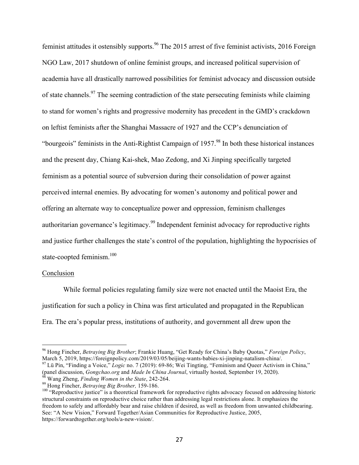feminist attitudes it ostensibly supports.<sup>96</sup> The 2015 arrest of five feminist activists, 2016 Foreign NGO Law, 2017 shutdown of online feminist groups, and increased political supervision of academia have all drastically narrowed possibilities for feminist advocacy and discussion outside of state channels.<sup>97</sup> The seeming contradiction of the state persecuting feminists while claiming to stand for women's rights and progressive modernity has precedent in the GMD's crackdown on leftist feminists after the Shanghai Massacre of 1927 and the CCP's denunciation of "bourgeois" feminists in the Anti-Rightist Campaign of  $1957$ .<sup>98</sup> In both these historical instances and the present day, Chiang Kai-shek, Mao Zedong, and Xi Jinping specifically targeted feminism as a potential source of subversion during their consolidation of power against perceived internal enemies. By advocating for women's autonomy and political power and offering an alternate way to conceptualize power and oppression, feminism challenges authoritarian governance's legitimacy.<sup>99</sup> Independent feminist advocacy for reproductive rights and justice further challenges the state's control of the population, highlighting the hypocrisies of state-coopted feminism.<sup>100</sup>

### Conclusion

While formal policies regulating family size were not enacted until the Maoist Era, the justification for such a policy in China was first articulated and propagated in the Republican Era. The era's popular press, institutions of authority, and government all drew upon the

 <sup>96</sup> Hong Fincher, *Betraying Big Brother*; Frankie Huang, "Get Ready for China's Baby Quotas," *Foreign Policy*,

<sup>&</sup>lt;sup>97</sup> Lü Pin, "Finding a Voice," *Logic* no. 7 (2019): 69-86; Wei Tingting, "Feminism and Queer Activism in China," (panel discussion, *Gongchao.org* and *Made In China Journal*, virtually hosted, September 19. 2020).

<sup>&</sup>lt;sup>98</sup> Wang Zheng, *Finding Women in the State*, 242-264.<br><sup>99</sup> Hong Fincher, *Betraying Big Brother*, 159-186.<br><sup>100</sup> "Reproductive justice" is a theoretical framework for reproductive rights advocacy focused on addressing h structural constraints on reproductive choice rather than addressing legal restrictions alone. It emphasizes the freedom to safely and affordably bear and raise children if desired, as well as freedom from unwanted childbearing. See: "A New Vision," Forward Together/Asian Communities for Reproductive Justice, 2005, https://forwardtogether.org/tools/a-new-vision/.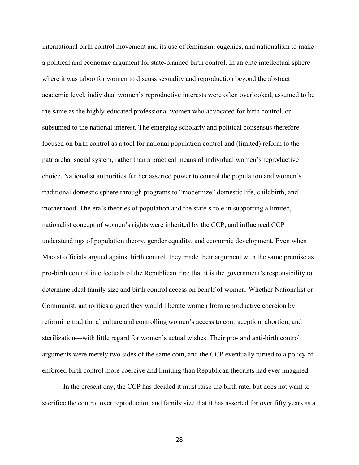international birth control movement and its use of feminism, eugenics, and nationalism to make a political and economic argument for state-planned birth control. In an elite intellectual sphere where it was taboo for women to discuss sexuality and reproduction beyond the abstract academic level, individual women's reproductive interests were often overlooked, assumed to be the same as the highly-educated professional women who advocated for birth control, or subsumed to the national interest. The emerging scholarly and political consensus therefore focused on birth control as a tool for national population control and (limited) reform to the patriarchal social system, rather than a practical means of individual women's reproductive choice. Nationalist authorities further asserted power to control the population and women's traditional domestic sphere through programs to "modernize" domestic life, childbirth, and motherhood. The era's theories of population and the state's role in supporting a limited, nationalist concept of women's rights were inherited by the CCP, and influenced CCP understandings of population theory, gender equality, and economic development. Even when Maoist officials argued against birth control, they made their argument with the same premise as pro-birth control intellectuals of the Republican Era: that it is the government's responsibility to determine ideal family size and birth control access on behalf of women. Whether Nationalist or Communist, authorities argued they would liberate women from reproductive coercion by reforming traditional culture and controlling women's access to contraception, abortion, and sterilization—with little regard for women's actual wishes. Their pro- and anti-birth control arguments were merely two sides of the same coin, and the CCP eventually turned to a policy of enforced birth control more coercive and limiting than Republican theorists had ever imagined.

In the present day, the CCP has decided it must raise the birth rate, but does not want to sacrifice the control over reproduction and family size that it has asserted for over fifty years as a

28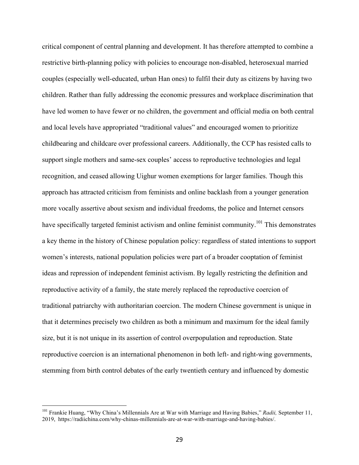critical component of central planning and development. It has therefore attempted to combine a restrictive birth-planning policy with policies to encourage non-disabled, heterosexual married couples (especially well-educated, urban Han ones) to fulfil their duty as citizens by having two children. Rather than fully addressing the economic pressures and workplace discrimination that have led women to have fewer or no children, the government and official media on both central and local levels have appropriated "traditional values" and encouraged women to prioritize childbearing and childcare over professional careers. Additionally, the CCP has resisted calls to support single mothers and same-sex couples' access to reproductive technologies and legal recognition, and ceased allowing Uighur women exemptions for larger families. Though this approach has attracted criticism from feminists and online backlash from a younger generation more vocally assertive about sexism and individual freedoms, the police and Internet censors have specifically targeted feminist activism and online feminist community.<sup>101</sup> This demonstrates a key theme in the history of Chinese population policy: regardless of stated intentions to support women's interests, national population policies were part of a broader cooptation of feminist ideas and repression of independent feminist activism. By legally restricting the definition and reproductive activity of a family, the state merely replaced the reproductive coercion of traditional patriarchy with authoritarian coercion. The modern Chinese government is unique in that it determines precisely two children as both a minimum and maximum for the ideal family size, but it is not unique in its assertion of control overpopulation and reproduction. State reproductive coercion is an international phenomenon in both left- and right-wing governments, stemming from birth control debates of the early twentieth century and influenced by domestic

 <sup>101</sup> Frankie Huang, "Why China's Millennials Are at War with Marriage and Having Babies," *Radii,* September 11, 2019, https://radiichina.com/why-chinas-millennials-are-at-war-with-marriage-and-having-babies/.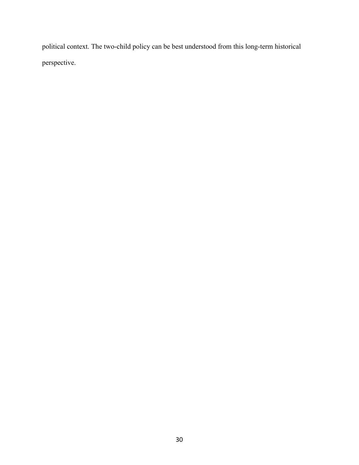political context. The two-child policy can be best understood from this long-term historical perspective.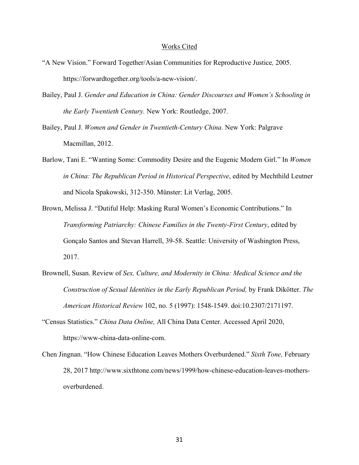#### Works Cited

- "A New Vision." Forward Together/Asian Communities for Reproductive Justice*,* 2005. https://forwardtogether.org/tools/a-new-vision/.
- Bailey, Paul J. *Gender and Education in China: Gender Discourses and Women's Schooling in the Early Twentieth Century.* New York: Routledge, 2007.
- Bailey, Paul J. *Women and Gender in Twentieth-Century China.* New York: Palgrave Macmillan, 2012.
- Barlow, Tani E. "Wanting Some: Commodity Desire and the Eugenic Modern Girl." In *Women in China: The Republican Period in Historical Perspective*, edited by Mechthild Leutner and Nicola Spakowski, 312-350. Münster: Lit Verlag, 2005.
- Brown, Melissa J. "Dutiful Help: Masking Rural Women's Economic Contributions." In *Transforming Patriarchy: Chinese Families in the Twenty-First Century*, edited by Gonçalo Santos and Stevan Harrell, 39-58. Seattle: University of Washington Press, 2017.
- Brownell, Susan. Review of *Sex, Culture, and Modernity in China: Medical Science and the Construction of Sexual Identities in the Early Republican Period,* by Frank Dikötter. *The American Historical Review* 102, no. 5 (1997): 1548-1549. doi:10.2307/2171197.
- "Census Statistics." *China Data Online,* All China Data Center. Accessed April 2020, https://www-china-data-online-com.
- Chen Jingnan. "How Chinese Education Leaves Mothers Overburdened." *Sixth Tone,* February 28, 2017 http://www.sixthtone.com/news/1999/how-chinese-education-leaves-mothersoverburdened.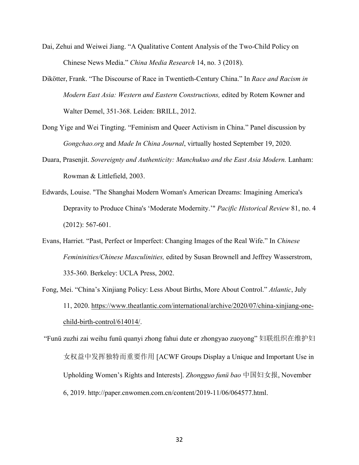- Dai, Zehui and Weiwei Jiang. "A Qualitative Content Analysis of the Two-Child Policy on Chinese News Media." *China Media Research* 14, no. 3 (2018).
- Dikötter, Frank. "The Discourse of Race in Twentieth-Century China." In *Race and Racism in Modern East Asia: Western and Eastern Constructions,* edited by Rotem Kowner and Walter Demel, 351-368. Leiden: BRILL, 2012.
- Dong Yige and Wei Tingting. "Feminism and Queer Activism in China." Panel discussion by *Gongchao.org* and *Made In China Journal*, virtually hosted September 19, 2020.
- Duara, Prasenjit. *Sovereignty and Authenticity: Manchukuo and the East Asia Modern.* Lanham: Rowman & Littlefield, 2003.
- Edwards, Louise. "The Shanghai Modern Woman's American Dreams: Imagining America's Depravity to Produce China's 'Moderate Modernity.'" *Pacific Historical Review* 81, no. 4 (2012): 567-601.
- Evans, Harriet. "Past, Perfect or Imperfect: Changing Images of the Real Wife." In *Chinese Femininities/Chinese Masculinities,* edited by Susan Brownell and Jeffrey Wasserstrom, 335-360. Berkeley: UCLA Press, 2002.
- Fong, Mei. "China's Xinjiang Policy: Less About Births, More About Control." *Atlantic*, July 11, 2020. https://www.theatlantic.com/international/archive/2020/07/china-xinjiang-onechild-birth-control/614014/.
- "Funü zuzhi zai weihu funü quanyi zhong fahui dute er zhongyao zuoyong" 妇联组织在维护妇 女权益中发挥独特而重要作用 [ACWF Groups Display a Unique and Important Use in Upholding Women's Rights and Interests]. *Zhongguo funü bao* 中国妇女报, November 6, 2019. http://paper.cnwomen.com.cn/content/2019-11/06/064577.html.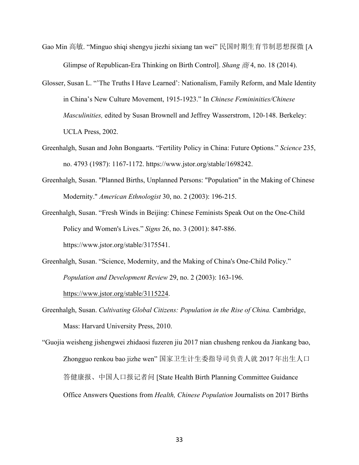- Gao Min 高敏. "Minguo shiqi shengyu jiezhi sixiang tan wei" 民国时期生育节制思想探微 [A Glimpse of Republican-Era Thinking on Birth Control]. *Shang* 商 4, no. 18 (2014).
- Glosser, Susan L. "'The Truths I Have Learned': Nationalism, Family Reform, and Male Identity in China's New Culture Movement, 1915-1923." In *Chinese Femininities/Chinese Masculinities,* edited by Susan Brownell and Jeffrey Wasserstrom, 120-148. Berkeley: UCLA Press, 2002.
- Greenhalgh, Susan and John Bongaarts. "Fertility Policy in China: Future Options." *Science* 235, no. 4793 (1987): 1167-1172. https://www.jstor.org/stable/1698242.
- Greenhalgh, Susan. "Planned Births, Unplanned Persons: "Population" in the Making of Chinese Modernity." *American Ethnologist* 30, no. 2 (2003): 196-215.
- Greenhalgh, Susan. "Fresh Winds in Beijing: Chinese Feminists Speak Out on the One-Child Policy and Women's Lives." *Signs* 26, no. 3 (2001): 847-886. https://www.jstor.org/stable/3175541.
- Greenhalgh, Susan. "Science, Modernity, and the Making of China's One-Child Policy." *Population and Development Review* 29, no. 2 (2003): 163-196.

https://www.jstor.org/stable/3115224.

Greenhalgh, Susan. *Cultivating Global Citizens: Population in the Rise of China.* Cambridge, Mass: Harvard University Press, 2010.

"Guojia weisheng jishengwei zhidaosi fuzeren jiu 2017 nian chusheng renkou da Jiankang bao, Zhongguo renkou bao jizhe wen" 国家卫生计生委指导司负责人就 2017 年出生人口 答健康报、中国人口报记者问 [State Health Birth Planning Committee Guidance Office Answers Questions from *Health, Chinese Population* Journalists on 2017 Births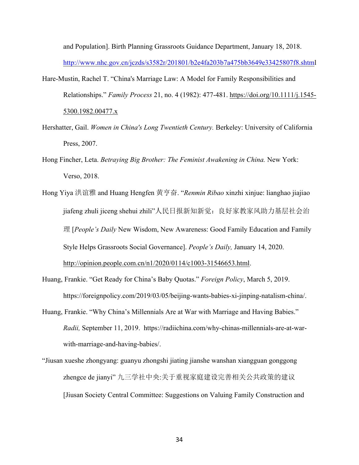and Population]. Birth Planning Grassroots Guidance Department, January 18, 2018. http://www.nhc.gov.cn/jczds/s3582r/201801/b2e4fa203b7a475bb3649e33425807f8.shtml

- Hare-Mustin, Rachel T. "China's Marriage Law: A Model for Family Responsibilities and Relationships." *Family Process* 21, no. 4 (1982): 477-481. https://doi.org/10.1111/j.1545- 5300.1982.00477.x
- Hershatter, Gail. *Women in China's Long Twentieth Century.* Berkeley: University of California Press, 2007.
- Hong Fincher, Leta. *Betraying Big Brother: The Feminist Awakening in China.* New York: Verso, 2018.
- Hong Yiya 洪谊雅 and Huang Hengfen 黄亨奋. "*Renmin Ribao* xinzhi xinjue: lianghao jiajiao jiafeng zhuli jiceng shehui zhili"人民日报新知新觉:良好家教家风助力基层社会治 理 [*People's Daily* New Wisdom, New Awareness: Good Family Education and Family Style Helps Grassroots Social Governance]. *People's Daily,* January 14, 2020. http://opinion.people.com.cn/n1/2020/0114/c1003-31546653.html.
- Huang, Frankie. "Get Ready for China's Baby Quotas." *Foreign Policy*, March 5, 2019. https://foreignpolicy.com/2019/03/05/beijing-wants-babies-xi-jinping-natalism-china/.
- Huang, Frankie. "Why China's Millennials Are at War with Marriage and Having Babies." *Radii,* September 11, 2019. https://radiichina.com/why-chinas-millennials-are-at-warwith-marriage-and-having-babies/.
- "Jiusan xueshe zhongyang: guanyu zhongshi jiating jianshe wanshan xiangguan gonggong zhengce de jianyi" 九三学社中央:关于重视家庭建设完善相关公共政策的建议 [Jiusan Society Central Committee: Suggestions on Valuing Family Construction and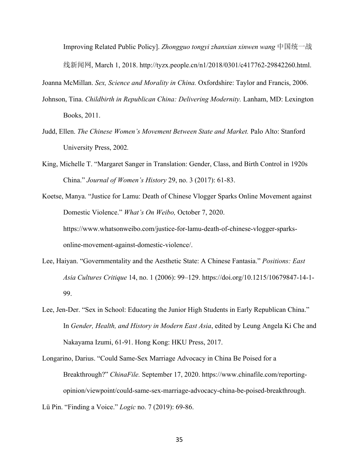Improving Related Public Policy]. *Zhongguo tongyi zhanxian xinwen wang* 中国统一战 线新闻网, March 1, 2018. http://tyzx.people.cn/n1/2018/0301/c417762-29842260.html.

Joanna McMillan. *Sex, Science and Morality in China.* Oxfordshire: Taylor and Francis, 2006.

- Johnson, Tina. *Childbirth in Republican China: Delivering Modernity.* Lanham, MD: Lexington Books, 2011.
- Judd, Ellen. *The Chinese Women's Movement Between State and Market.* Palo Alto: Stanford University Press, 2002*.*
- King, Michelle T. "Margaret Sanger in Translation: Gender, Class, and Birth Control in 1920s China." *Journal of Women's History* 29, no. 3 (2017): 61-83.
- Koetse, Manya. "Justice for Lamu: Death of Chinese Vlogger Sparks Online Movement against Domestic Violence." *What's On Weibo,* October 7, 2020. https://www.whatsonweibo.com/justice-for-lamu-death-of-chinese-vlogger-sparksonline-movement-against-domestic-violence/.
- Lee, Haiyan. "Governmentality and the Aesthetic State: A Chinese Fantasia." *Positions: East Asia Cultures Critique* 14, no. 1 (2006): 99–129. https://doi.org/10.1215/10679847-14-1- 99.
- Lee, Jen-Der. "Sex in School: Educating the Junior High Students in Early Republican China." In *Gender, Health, and History in Modern East Asia*, edited by Leung Angela Ki Che and Nakayama Izumi, 61-91. Hong Kong: HKU Press, 2017.

Longarino, Darius. "Could Same-Sex Marriage Advocacy in China Be Poised for a Breakthrough?" *ChinaFile.* September 17, 2020. https://www.chinafile.com/reportingopinion/viewpoint/could-same-sex-marriage-advocacy-china-be-poised-breakthrough.

Lü Pin. "Finding a Voice." *Logic* no. 7 (2019): 69-86.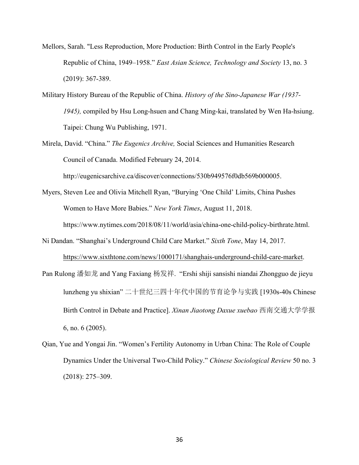- Mellors, Sarah. "Less Reproduction, More Production: Birth Control in the Early People's Republic of China, 1949–1958." *East Asian Science, Technology and Society* 13, no. 3 (2019): 367-389.
- Military History Bureau of the Republic of China. *History of the Sino-Japanese War (1937- 1945),* compiled by Hsu Long-hsuen and Chang Ming-kai, translated by Wen Ha-hsiung. Taipei: Chung Wu Publishing, 1971.
- Mirela, David. "China." *The Eugenics Archive,* Social Sciences and Humanities Research Council of Canada. Modified February 24, 2014.

http://eugenicsarchive.ca/discover/connections/530b949576f0db569b000005.

- Myers, Steven Lee and Olivia Mitchell Ryan, "Burying 'One Child' Limits, China Pushes Women to Have More Babies." *New York Times*, August 11, 2018. https://www.nytimes.com/2018/08/11/world/asia/china-one-child-policy-birthrate.html.
- Ni Dandan. "Shanghai's Underground Child Care Market." *Sixth Tone*, May 14, 2017. https://www.sixthtone.com/news/1000171/shanghais-underground-child-care-market.
- Pan Rulong 潘如龙 and Yang Faxiang 杨发祥. "Ershi shiji sansishi niandai Zhongguo de jieyu lunzheng yu shixian" 二十世纪三四十年代中国的节育论争与实践 [1930s-40s Chinese Birth Control in Debate and Practice]. *Xinan Jiaotong Daxue xuebao* 西南交通大学学报 6, no. 6 (2005).
- Qian, Yue and Yongai Jin. "Women's Fertility Autonomy in Urban China: The Role of Couple Dynamics Under the Universal Two-Child Policy." *Chinese Sociological Review* 50 no. 3 (2018): 275–309.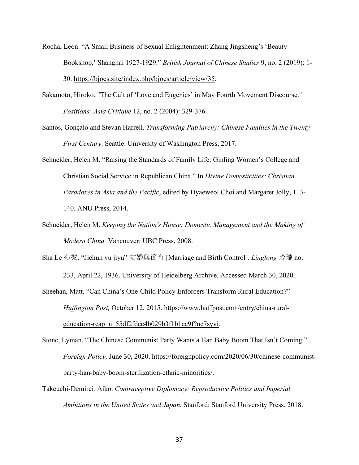- Rocha, Leon. "A Small Business of Sexual Enlightenment: Zhang Jingsheng's 'Beauty Bookshop,' Shanghai 1927-1929." *British Journal of Chinese Studies* 9, no. 2 (2019): 1- 30. https://bjocs.site/index.php/bjocs/article/view/35.
- Sakamoto, Hiroko. "The Cult of 'Love and Eugenics' in May Fourth Movement Discourse." *Positions: Asia Critique* 12, no. 2 (2004): 329-376.
- Santos, Gonçalo and Stevan Harrell. *Transforming Patriarchy: Chinese Families in the Twenty-First Century*. Seattle: University of Washington Press, 2017.
- Schneider, Helen M. "Raising the Standards of Family Life: Ginling Women's College and Christian Social Service in Republican China." In *Divine Domesticities: Christian Paradoxes in Asia and the Pacific*, edited by Hyaeweol Choi and Margaret Jolly, 113- 140. ANU Press, 2014.
- Schneider, Helen M. *Keeping the Nation's House: Domestic Management and the Making of Modern China.* Vancouver: UBC Press, 2008.
- Sha Le 莎樂. "Jiehun yu jiyu" 結婚與節育 [Marriage and Birth Control]. *Linglong* 玲瓏 no.

233, April 22, 1936. University of Heidelberg Archive. Accessed March 30, 2020.

Sheehan, Matt. "Can China's One-Child Policy Enforcers Transform Rural Education?" *Huffington Post,* October 12, 2015. https://www.huffpost.com/entry/china-ruraleducation-reap\_n\_55df2fdee4b029b3f1b1cc9f?nc7syvi.

- Stone, Lyman. "The Chinese Communist Party Wants a Han Baby Boom That Isn't Coming." *Foreign Policy, June 30, 2020. https://foreignpolicy.com/2020/06/30/chinese-communist*party-han-baby-boom-sterilization-ethnic-minorities/.
- Takeuchi-Demirci*,* Aiko. *Contraceptive Diplomacy: Reproductive Politics and Imperial Ambitions in the United States and Japan.* Stanford: Stanford University Press, 2018.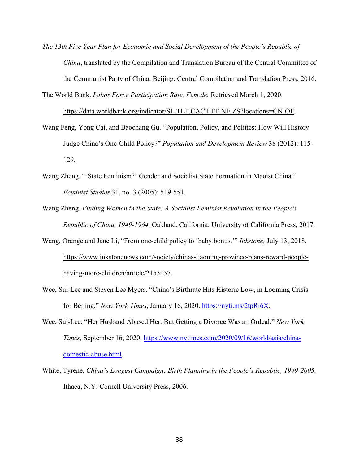- *The 13th Five Year Plan for Economic and Social Development of the People's Republic of China*, translated by the Compilation and Translation Bureau of the Central Committee of the Communist Party of China. Beijing: Central Compilation and Translation Press, 2016.
- The World Bank. *Labor Force Participation Rate, Female.* Retrieved March 1, 2020. https://data.worldbank.org/indicator/SL.TLF.CACT.FE.NE.ZS?locations=CN-OE.
- Wang Feng, Yong Cai, and Baochang Gu. "Population, Policy, and Politics: How Will History Judge China's One-Child Policy?" *Population and Development Review* 38 (2012): 115- 129.
- Wang Zheng. "'State Feminism?' Gender and Socialist State Formation in Maoist China." *Feminist Studies* 31, no. 3 (2005): 519-551.
- Wang Zheng. *Finding Women in the State: A Socialist Feminist Revolution in the People's Republic of China, 1949-1964.* Oakland, California: University of California Press, 2017.
- Wang, Orange and Jane Li, "From one-child policy to 'baby bonus.'" *Inkstone,* July 13, 2018. https://www.inkstonenews.com/society/chinas-liaoning-province-plans-reward-peoplehaving-more-children/article/2155157.
- Wee, Sui-Lee and Steven Lee Myers. "China's Birthrate Hits Historic Low, in Looming Crisis for Beijing." *New York Times*, January 16, 2020. https://nyti.ms/2tpRi6X.
- Wee, Sui-Lee. "Her Husband Abused Her. But Getting a Divorce Was an Ordeal." *New York Times,* September 16, 2020. https://www.nytimes.com/2020/09/16/world/asia/chinadomestic-abuse.html.
- White, Tyrene. *China's Longest Campaign: Birth Planning in the People's Republic, 1949-2005.* Ithaca, N.Y: Cornell University Press, 2006.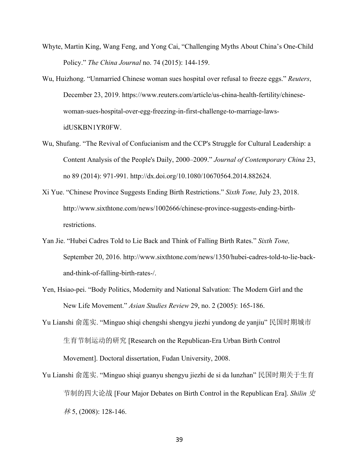- Whyte, Martin King, Wang Feng, and Yong Cai, "Challenging Myths About China's One-Child Policy." *The China Journal* no. 74 (2015): 144-159.
- Wu, Huizhong. "Unmarried Chinese woman sues hospital over refusal to freeze eggs." *Reuters*, December 23, 2019. https://www.reuters.com/article/us-china-health-fertility/chinesewoman-sues-hospital-over-egg-freezing-in-first-challenge-to-marriage-lawsidUSKBN1YR0FW.
- Wu, Shufang. "The Revival of Confucianism and the CCP's Struggle for Cultural Leadership: a Content Analysis of the People's Daily, 2000–2009." *Journal of Contemporary China* 23, no 89 (2014): 971-991. http://dx.doi.org/10.1080/10670564.2014.882624.
- Xi Yue. "Chinese Province Suggests Ending Birth Restrictions." *Sixth Tone,* July 23, 2018. http://www.sixthtone.com/news/1002666/chinese-province-suggests-ending-birthrestrictions.
- Yan Jie. "Hubei Cadres Told to Lie Back and Think of Falling Birth Rates." *Sixth Tone,* September 20, 2016. http://www.sixthtone.com/news/1350/hubei-cadres-told-to-lie-backand-think-of-falling-birth-rates-/.
- Yen, Hsiao-pei. "Body Politics, Modernity and National Salvation: The Modern Girl and the New Life Movement." *Asian Studies Review* 29, no. 2 (2005): 165-186.
- Yu Lianshi 俞莲实. "Minguo shiqi chengshi shengyu jiezhi yundong de yanjiu" 民国时期城市 生育节制运动的研究 [Research on the Republican-Era Urban Birth Control Movement]. Doctoral dissertation, Fudan University, 2008.
- Yu Lianshi 俞莲实. "Minguo shiqi guanyu shengyu jiezhi de si da lunzhan" 民国时期关于生育 节制的四大论战 [Four Major Debates on Birth Control in the Republican Era]. *Shilin* 史 林 5, (2008): 128-146.